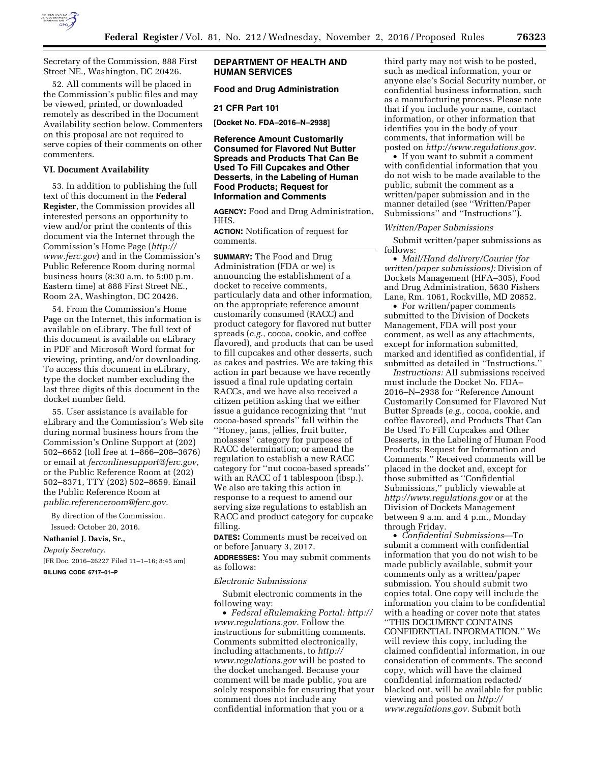

Secretary of the Commission, 888 First Street NE., Washington, DC 20426.

52. All comments will be placed in the Commission's public files and may be viewed, printed, or downloaded remotely as described in the Document Availability section below. Commenters on this proposal are not required to serve copies of their comments on other commenters.

## **VI. Document Availability**

53. In addition to publishing the full text of this document in the **Federal Register**, the Commission provides all interested persons an opportunity to view and/or print the contents of this document via the Internet through the Commission's Home Page (*[http://](http://www.ferc.gov) [www.ferc.gov](http://www.ferc.gov)*) and in the Commission's Public Reference Room during normal business hours (8:30 a.m. to 5:00 p.m. Eastern time) at 888 First Street NE., Room 2A, Washington, DC 20426.

54. From the Commission's Home Page on the Internet, this information is available on eLibrary. The full text of this document is available on eLibrary in PDF and Microsoft Word format for viewing, printing, and/or downloading. To access this document in eLibrary, type the docket number excluding the last three digits of this document in the docket number field.

55. User assistance is available for eLibrary and the Commission's Web site during normal business hours from the Commission's Online Support at (202) 502–6652 (toll free at 1–866–208–3676) or email at *[ferconlinesupport@ferc.gov,](mailto:ferconlinesupport@ferc.gov)*  or the Public Reference Room at (202) 502–8371, TTY (202) 502–8659. Email the Public Reference Room at *[public.referenceroom@ferc.gov.](mailto:public.referenceroom@ferc.gov)* 

By direction of the Commission. Issued: October 20, 2016.

# **Nathaniel J. Davis, Sr.,**

*Deputy Secretary.* 

[FR Doc. 2016–26227 Filed 11–1–16; 8:45 am] **BILLING CODE 6717–01–P** 

# **DEPARTMENT OF HEALTH AND HUMAN SERVICES**

# **Food and Drug Administration**

#### **21 CFR Part 101**

**[Docket No. FDA–2016–N–2938]** 

**Reference Amount Customarily Consumed for Flavored Nut Butter Spreads and Products That Can Be Used To Fill Cupcakes and Other Desserts, in the Labeling of Human Food Products; Request for Information and Comments** 

**AGENCY:** Food and Drug Administration, HHS.

**ACTION:** Notification of request for comments.

**SUMMARY:** The Food and Drug Administration (FDA or we) is announcing the establishment of a docket to receive comments, particularly data and other information, on the appropriate reference amount customarily consumed (RACC) and product category for flavored nut butter spreads (*e.g.,* cocoa, cookie, and coffee flavored), and products that can be used to fill cupcakes and other desserts, such as cakes and pastries. We are taking this action in part because we have recently issued a final rule updating certain RACCs, and we have also received a citizen petition asking that we either issue a guidance recognizing that ''nut cocoa-based spreads'' fall within the ''Honey, jams, jellies, fruit butter, molasses'' category for purposes of RACC determination; or amend the regulation to establish a new RACC category for ''nut cocoa-based spreads'' with an RACC of 1 tablespoon (tbsp.). We also are taking this action in

response to a request to amend our serving size regulations to establish an RACC and product category for cupcake filling.

**DATES:** Comments must be received on or before January 3, 2017.

**ADDRESSES:** You may submit comments as follows:

#### *Electronic Submissions*

Submit electronic comments in the following way:

• *Federal eRulemaking Portal: [http://](http://www.regulations.gov)  [www.regulations.gov.](http://www.regulations.gov)* Follow the instructions for submitting comments. Comments submitted electronically, including attachments, to *[http://](http://www.regulations.gov) [www.regulations.gov](http://www.regulations.gov)* will be posted to the docket unchanged. Because your comment will be made public, you are solely responsible for ensuring that your comment does not include any confidential information that you or a

third party may not wish to be posted, such as medical information, your or anyone else's Social Security number, or confidential business information, such as a manufacturing process. Please note that if you include your name, contact information, or other information that identifies you in the body of your comments, that information will be posted on *[http://www.regulations.gov.](http://www.regulations.gov)* 

• If you want to submit a comment with confidential information that you do not wish to be made available to the public, submit the comment as a written/paper submission and in the manner detailed (see ''Written/Paper Submissions'' and ''Instructions'').

### *Written/Paper Submissions*

Submit written/paper submissions as follows:

• *Mail/Hand delivery/Courier (for written/paper submissions):* Division of Dockets Management (HFA–305), Food and Drug Administration, 5630 Fishers Lane, Rm. 1061, Rockville, MD 20852.

• For written/paper comments submitted to the Division of Dockets Management, FDA will post your comment, as well as any attachments, except for information submitted, marked and identified as confidential, if submitted as detailed in ''Instructions.''

*Instructions:* All submissions received must include the Docket No. FDA– 2016–N–2938 for ''Reference Amount Customarily Consumed for Flavored Nut Butter Spreads (*e.g.,* cocoa, cookie, and coffee flavored), and Products That Can Be Used To Fill Cupcakes and Other Desserts, in the Labeling of Human Food Products; Request for Information and Comments.'' Received comments will be placed in the docket and, except for those submitted as ''Confidential Submissions,'' publicly viewable at *<http://www.regulations.gov>* or at the Division of Dockets Management between 9 a.m. and 4 p.m., Monday through Friday.

• *Confidential Submissions*—To submit a comment with confidential information that you do not wish to be made publicly available, submit your comments only as a written/paper submission. You should submit two copies total. One copy will include the information you claim to be confidential with a heading or cover note that states ''THIS DOCUMENT CONTAINS CONFIDENTIAL INFORMATION.'' We will review this copy, including the claimed confidential information, in our consideration of comments. The second copy, which will have the claimed confidential information redacted/ blacked out, will be available for public viewing and posted on *[http://](http://www.regulations.gov) [www.regulations.gov.](http://www.regulations.gov)* Submit both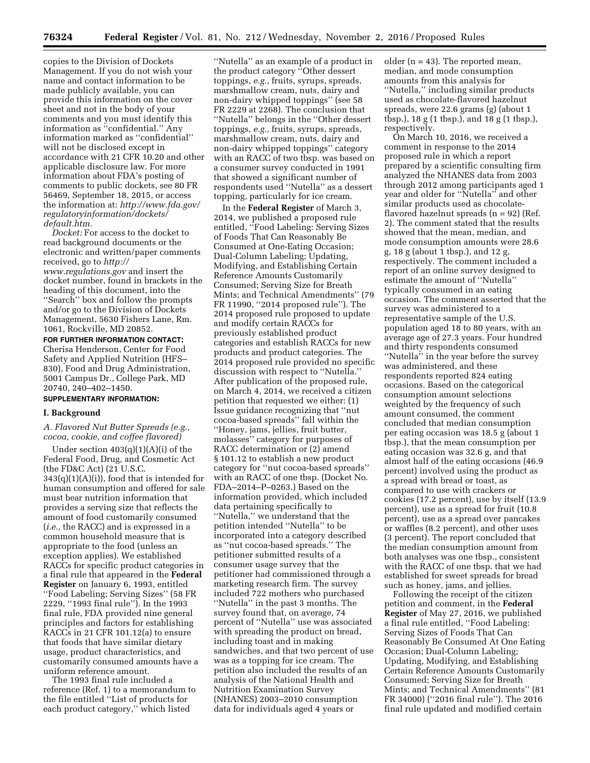copies to the Division of Dockets Management. If you do not wish your name and contact information to be made publicly available, you can provide this information on the cover sheet and not in the body of your comments and you must identify this information as ''confidential.'' Any information marked as ''confidential'' will not be disclosed except in accordance with 21 CFR 10.20 and other applicable disclosure law. For more information about FDA's posting of comments to public dockets, see 80 FR 56469, September 18, 2015, or access the information at: *[http://www.fda.gov/](http://www.fda.gov/regulatoryinformation/dockets/default.htm)  [regulatoryinformation/dockets/](http://www.fda.gov/regulatoryinformation/dockets/default.htm)  [default.htm.](http://www.fda.gov/regulatoryinformation/dockets/default.htm)* 

*Docket:* For access to the docket to read background documents or the electronic and written/paper comments received, go to *[http://](http://www.regulations.gov) [www.regulations.gov](http://www.regulations.gov)* and insert the docket number, found in brackets in the heading of this document, into the ''Search'' box and follow the prompts and/or go to the Division of Dockets Management, 5630 Fishers Lane, Rm. 1061, Rockville, MD 20852.

**FOR FURTHER INFORMATION CONTACT:**  Cherisa Henderson, Center for Food Safety and Applied Nutrition (HFS– 830), Food and Drug Administration, 5001 Campus Dr., College Park, MD 20740, 240–402–1450.

### **SUPPLEMENTARY INFORMATION:**

#### **I. Background**

*A. Flavored Nut Butter Spreads (e.g., cocoa, cookie, and coffee flavored)* 

Under section  $403(q)(1)(A)(i)$  of the Federal Food, Drug, and Cosmetic Act (the FD&C Act) (21 U.S.C.  $343(q)(1)(A)(i)$ , food that is intended for human consumption and offered for sale must bear nutrition information that provides a serving size that reflects the amount of food customarily consumed (*i.e.,* the RACC) and is expressed in a common household measure that is appropriate to the food (unless an exception applies). We established RACCs for specific product categories in a final rule that appeared in the **Federal Register** on January 6, 1993, entitled ''Food Labeling; Serving Sizes'' (58 FR 2229, ''1993 final rule''). In the 1993 final rule, FDA provided nine general principles and factors for establishing RACCs in 21 CFR 101.12(a) to ensure that foods that have similar dietary usage, product characteristics, and customarily consumed amounts have a uniform reference amount.

The 1993 final rule included a reference (Ref. 1) to a memorandum to the file entitled ''List of products for each product category,'' which listed

''Nutella'' as an example of a product in the product category ''Other dessert toppings, *e.g.,* fruits, syrups, spreads, marshmallow cream, nuts, dairy and non-dairy whipped toppings'' (see 58 FR 2229 at 2268). The conclusion that ''Nutella'' belongs in the ''Other dessert toppings, *e.g.,* fruits, syrups, spreads, marshmallow cream, nuts, dairy and non-dairy whipped toppings'' category with an RACC of two tbsp. was based on a consumer survey conducted in 1991 that showed a significant number of respondents used ''Nutella'' as a dessert topping, particularly for ice cream.

In the **Federal Register** of March 3, 2014, we published a proposed rule entitled, ''Food Labeling: Serving Sizes of Foods That Can Reasonably Be Consumed at One-Eating Occasion; Dual-Column Labeling; Updating, Modifying, and Establishing Certain Reference Amounts Customarily Consumed; Serving Size for Breath Mints; and Technical Amendments'' (79 FR 11990, ''2014 proposed rule''). The 2014 proposed rule proposed to update and modify certain RACCs for previously established product categories and establish RACCs for new products and product categories. The 2014 proposed rule provided no specific discussion with respect to ''Nutella.'' After publication of the proposed rule, on March 4, 2014, we received a citizen petition that requested we either: (1) Issue guidance recognizing that ''nut cocoa-based spreads'' fall within the ''Honey, jams, jellies, fruit butter, molasses'' category for purposes of RACC determination or (2) amend § 101.12 to establish a new product category for ''nut cocoa-based spreads'' with an RACC of one tbsp. (Docket No. FDA–2014–P–0263.) Based on the information provided, which included data pertaining specifically to ''Nutella,'' we understand that the petition intended ''Nutella'' to be incorporated into a category described as ''nut cocoa-based spreads.'' The petitioner submitted results of a consumer usage survey that the petitioner had commissioned through a marketing research firm. The survey included 722 mothers who purchased ''Nutella'' in the past 3 months. The survey found that, on average, 74 percent of ''Nutella'' use was associated with spreading the product on bread, including toast and in making sandwiches, and that two percent of use was as a topping for ice cream. The petition also included the results of an analysis of the National Health and Nutrition Examination Survey (NHANES) 2003–2010 consumption data for individuals aged 4 years or

older  $(n = 43)$ . The reported mean, median, and mode consumption amounts from this analysis for ''Nutella,'' including similar products used as chocolate-flavored hazelnut spreads, were 22.6 grams (g) (about 1 tbsp.), 18 g (1 tbsp.), and 18 g (1 tbsp.), respectively.

On March 10, 2016, we received a comment in response to the 2014 proposed rule in which a report prepared by a scientific consulting firm analyzed the NHANES data from 2003 through 2012 among participants aged 1 year and older for ''Nutella'' and other similar products used as chocolateflavored hazelnut spreads  $(n = 92)$  (Ref. 2). The comment stated that the results showed that the mean, median, and mode consumption amounts were 28.6 g, 18 g (about 1 tbsp.), and 12 g, respectively. The comment included a report of an online survey designed to estimate the amount of ''Nutella'' typically consumed in an eating occasion. The comment asserted that the survey was administered to a representative sample of the U.S. population aged 18 to 80 years, with an average age of 27.3 years. Four hundred and thirty respondents consumed ''Nutella'' in the year before the survey was administered, and these respondents reported 824 eating occasions. Based on the categorical consumption amount selections weighted by the frequency of such amount consumed, the comment concluded that median consumption per eating occasion was 18.5 g (about 1 tbsp.), that the mean consumption per eating occasion was 32.6 g, and that almost half of the eating occasions (46.9 percent) involved using the product as a spread with bread or toast, as compared to use with crackers or cookies (17.2 percent), use by itself (13.9 percent), use as a spread for fruit (10.8 percent), use as a spread over pancakes or waffles (8.2 percent), and other uses (3 percent). The report concluded that the median consumption amount from both analyses was one tbsp., consistent with the RACC of one tbsp. that we had established for sweet spreads for bread such as honey, jams, and jellies.

Following the receipt of the citizen petition and comment, in the **Federal Register** of May 27, 2016, we published a final rule entitled, ''Food Labeling: Serving Sizes of Foods That Can Reasonably Be Consumed At One Eating Occasion; Dual-Column Labeling; Updating, Modifying, and Establishing Certain Reference Amounts Customarily Consumed; Serving Size for Breath Mints; and Technical Amendments'' (81 FR 34000) (''2016 final rule''). The 2016 final rule updated and modified certain